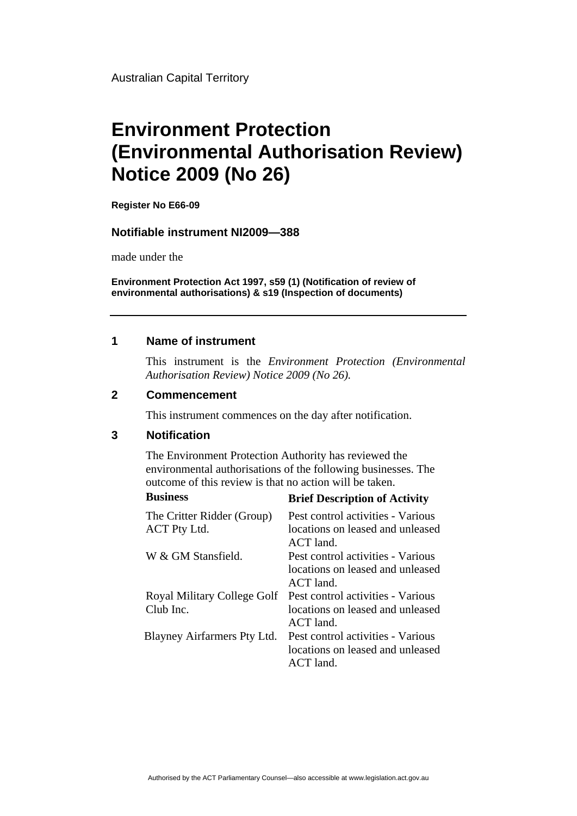Australian Capital Territory

# **Environment Protection (Environmental Authorisation Review) Notice 2009 (No 26)**

**Register No E66-09**

#### **Notifiable instrument NI2009—388**

made under the

**Environment Protection Act 1997, s59 (1) (Notification of review of environmental authorisations) & s19 (Inspection of documents)**

### **1 Name of instrument**

This instrument is the *Environment Protection (Environmental Authorisation Review) Notice 2009 (No 26).* 

#### **2 Commencement**

This instrument commences on the day after notification.

## **3 Notification**

The Environment Protection Authority has reviewed the environmental authorisations of the following businesses. The outcome of this review is that no action will be taken.

| <b>Business</b>             | <b>Brief Description of Activity</b> |
|-----------------------------|--------------------------------------|
| The Critter Ridder (Group)  | Pest control activities - Various    |
| ACT Pty Ltd.                | locations on leased and unleased     |
|                             | $ACT$ land                           |
| W & GM Stansfield.          | Pest control activities - Various    |
|                             | locations on leased and unleased     |
|                             | $ACT$ land.                          |
| Royal Military College Golf | Pest control activities - Various    |
| Club Inc.                   | locations on leased and unleased     |
|                             | $ACT$ land.                          |
| Blayney Airfarmers Pty Ltd. | Pest control activities - Various    |
|                             | locations on leased and unleased     |
|                             | $ACT$ land.                          |